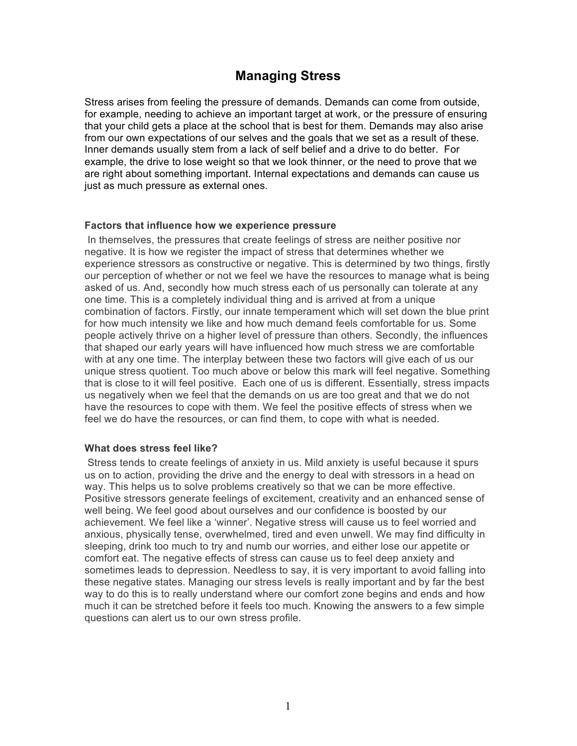# **Managing Stress**

Stress arises from feeling the pressure of demands. Demands can come from outside, for example, needing to achieve an important target at work, or the pressure of ensuring that your child gets a place at the school that is best for them. Demands may also arise from our own expectations of our selves and the goals that we set as a result of these. Inner demands usually stem from a lack of self belief and a drive to do better. For example, the drive to lose weight so that we look thinner, or the need to prove that we are right about something important. Internal expectations and demands can cause us just as much pressure as external ones.

### **Factors that influence how we experience pressure**

In themselves, the pressures that create feelings of stress are neither positive nor negative. It is how we register the impact of stress that determines whether we experience stressors as constructive or negative. This is determined by two things, firstly our perception of whether or not we feel we have the resources to manage what is being asked of us. And, secondly how much stress each of us personally can tolerate at any one time. This is a completely individual thing and is arrived at from a unique combination of factors. Firstly, our innate temperament which will set down the blue print for how much intensity we like and how much demand feels comfortable for us. Some people actively thrive on a higher level of pressure than others. Secondly, the influences that shaped our early years will have influenced how much stress we are comfortable with at any one time. The interplay between these two factors will give each of us our unique stress quotient. Too much above or below this mark will feel negative. Something that is close to it will feel positive. Each one of us is different. Essentially, stress impacts us negatively when we feel that the demands on us are too great and that we do not have the resources to cope with them. We feel the positive effects of stress when we feel we do have the resources, or can find them, to cope with what is needed.

### **What does stress feel like?**

Stress tends to create feelings of anxiety in us. Mild anxiety is useful because it spurs us on to action, providing the drive and the energy to deal with stressors in a head on way. This helps us to solve problems creatively so that we can be more effective. Positive stressors generate feelings of excitement, creativity and an enhanced sense of well being. We feel good about ourselves and our confidence is boosted by our achievement. We feel like a 'winner'. Negative stress will cause us to feel worried and anxious, physically tense, overwhelmed, tired and even unwell. We may find difficulty in sleeping, drink too much to try and numb our worries, and either lose our appetite or comfort eat. The negative effects of stress can cause us to feel deep anxiety and sometimes leads to depression. Needless to say, it is very important to avoid falling into these negative states. Managing our stress levels is really important and by far the best way to do this is to really understand where our comfort zone begins and ends and how much it can be stretched before it feels too much. Knowing the answers to a few simple questions can alert us to our own stress profile.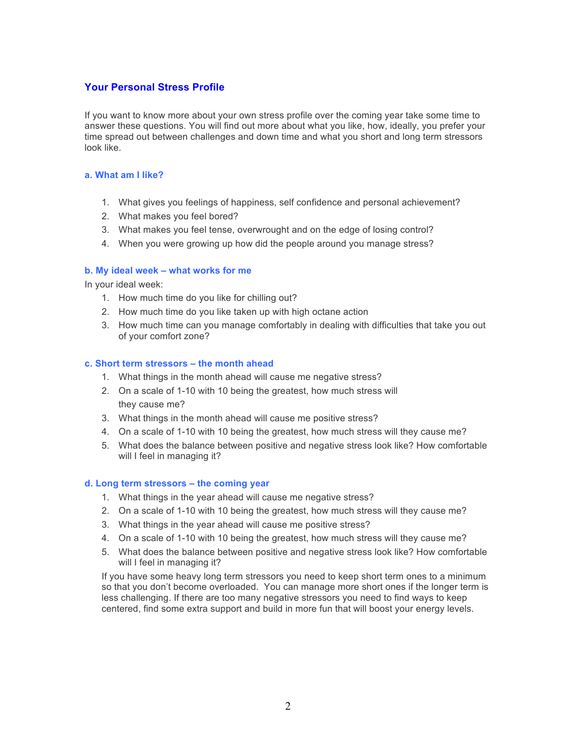## **Your Personal Stress Profile**

If you want to know more about your own stress profile over the coming year take some time to answer these questions. You will find out more about what you like, how, ideally, you prefer your time spread out between challenges and down time and what you short and long term stressors look like.

#### **a. What am I like?**

- 1. What gives you feelings of happiness, self confidence and personal achievement?
- 2. What makes you feel bored?
- 3. What makes you feel tense, overwrought and on the edge of losing control?
- 4. When you were growing up how did the people around you manage stress?

#### **b. My ideal week – what works for me**

In your ideal week:

- 1. How much time do you like for chilling out?
- 2. How much time do you like taken up with high octane action
- 3. How much time can you manage comfortably in dealing with difficulties that take you out of your comfort zone?

#### **c. Short term stressors – the month ahead**

- 1. What things in the month ahead will cause me negative stress?
- 2. On a scale of 1-10 with 10 being the greatest, how much stress will they cause me?
- 3. What things in the month ahead will cause me positive stress?
- 4. On a scale of 1-10 with 10 being the greatest, how much stress will they cause me?
- 5. What does the balance between positive and negative stress look like? How comfortable will I feel in managing it?

#### **d. Long term stressors – the coming year**

- 1. What things in the year ahead will cause me negative stress?
- 2. On a scale of 1-10 with 10 being the greatest, how much stress will they cause me?
- 3. What things in the year ahead will cause me positive stress?
- 4. On a scale of 1-10 with 10 being the greatest, how much stress will they cause me?
- 5. What does the balance between positive and negative stress look like? How comfortable will I feel in managing it?

If you have some heavy long term stressors you need to keep short term ones to a minimum so that you don't become overloaded. You can manage more short ones if the longer term is less challenging. If there are too many negative stressors you need to find ways to keep centered, find some extra support and build in more fun that will boost your energy levels.